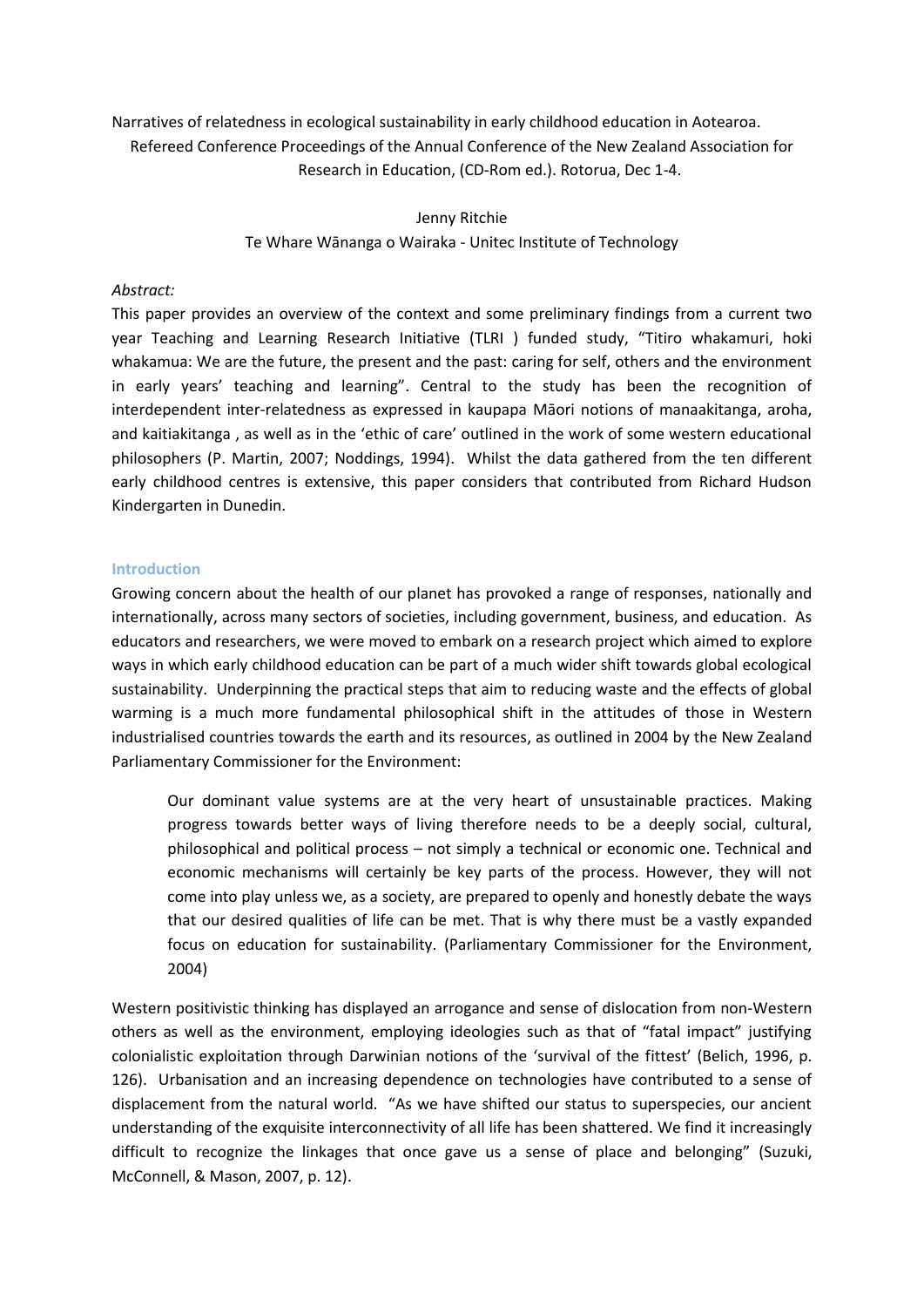Narratives of relatedness in ecological sustainability in early childhood education in Aotearoa. Refereed Conference Proceedings of the Annual Conference of the New Zealand Association for Research in Education, (CD-Rom ed.). Rotorua, Dec 1-4.

> Jenny Ritchie Te Whare Wānanga o Wairaka - Unitec Institute of Technology

## Abstract:

This paper provides an overview of the context and some preliminary findings from a current two year Teaching and Learning Research Initiative (TLRI ) funded study, "Titiro whakamuri, hoki whakamua: We are the future, the present and the past: caring for self, others and the environment in early years' teaching and learning". Central to the study has been the recognition of interdependent inter-relatedness as expressed in kaupapa Māori notions of manaakitanga, aroha, and kaitiakitanga, as well as in the 'ethic of care' outlined in the work of some western educational philosophers (P. Martin, 2007; Noddings, 1994). Whilst the data gathered from the ten different early childhood centres is extensive, this paper considers that contributed from Richard Hudson Kindergarten in Dunedin.

### **Introduction**

Growing concern about the health of our planet has provoked a range of responses, nationally and internationally, across many sectors of societies, including government, business, and education. As educators and researchers, we were moved to embark on a research project which aimed to explore ways in which early childhood education can be part of a much wider shift towards global ecological sustainability. Underpinning the practical steps that aim to reducing waste and the effects of global warming is a much more fundamental philosophical shift in the attitudes of those in Western industrialised countries towards the earth and its resources, as outlined in 2004 by the New Zealand Parliamentary Commissioner for the Environment:

Our dominant value systems are at the very heart of unsustainable practices. Making progress towards better ways of living therefore needs to be a deeply social, cultural, philosophical and political process – not simply a technical or economic one. Technical and economic mechanisms will certainly be key parts of the process. However, they will not come into play unless we, as a society, are prepared to openly and honestly debate the ways that our desired qualities of life can be met. That is why there must be a vastly expanded focus on education for sustainability. (Parliamentary Commissioner for the Environment.  $2004)$ 

Western positivistic thinking has displayed an arrogance and sense of dislocation from non-Western others as well as the environment, employing ideologies such as that of "fatal impact" justifying colonialistic exploitation through Darwinian notions of the 'survival of the fittest' (Belich, 1996, p. 126). Urbanisation and an increasing dependence on technologies have contributed to a sense of displacement from the natural world. "As we have shifted our status to superspecies, our ancient understanding of the exquisite interconnectivity of all life has been shattered. We find it increasingly difficult to recognize the linkages that once gave us a sense of place and belonging" (Suzuki, McConnell, & Mason, 2007, p. 12).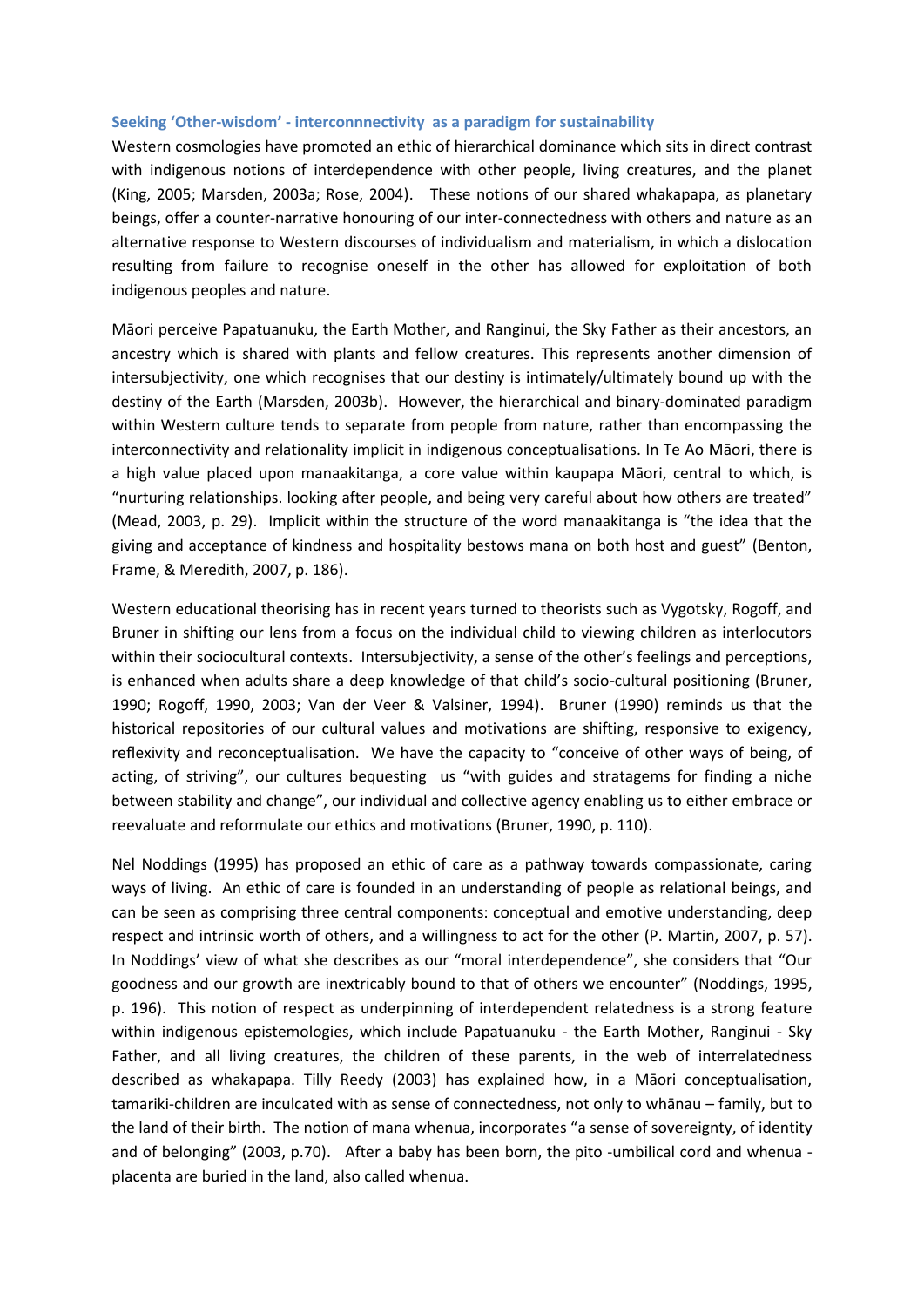### Seeking 'Other-wisdom' - interconnnectivity as a paradigm for sustainability

Western cosmologies have promoted an ethic of hierarchical dominance which sits in direct contrast with indigenous notions of interdependence with other people, living creatures, and the planet (King, 2005; Marsden, 2003a; Rose, 2004). These notions of our shared whakapapa, as planetary beings, offer a counter-narrative honouring of our inter-connectedness with others and nature as an alternative response to Western discourses of individualism and materialism, in which a dislocation resulting from failure to recognise oneself in the other has allowed for exploitation of both indigenous peoples and nature.

Māori perceive Papatuanuku, the Earth Mother, and Ranginui, the Sky Father as their ancestors, an ancestry which is shared with plants and fellow creatures. This represents another dimension of intersubjectivity, one which recognises that our destiny is intimately/ultimately bound up with the destiny of the Earth (Marsden, 2003b). However, the hierarchical and binary-dominated paradigm within Western culture tends to separate from people from nature, rather than encompassing the interconnectivity and relationality implicit in indigenous conceptualisations. In Te Ao Māori, there is a high value placed upon manaakitanga, a core value within kaupapa Māori, central to which, is "nurturing relationships. looking after people, and being very careful about how others are treated" (Mead, 2003, p. 29). Implicit within the structure of the word manaakitanga is "the idea that the giving and acceptance of kindness and hospitality bestows mana on both host and guest" (Benton, Frame, & Meredith, 2007, p. 186).

Western educational theorising has in recent years turned to theorists such as Vygotsky, Rogoff, and Bruner in shifting our lens from a focus on the individual child to viewing children as interlocutors within their sociocultural contexts. Intersubjectivity, a sense of the other's feelings and perceptions, is enhanced when adults share a deep knowledge of that child's socio-cultural positioning (Bruner, 1990; Rogoff, 1990, 2003; Van der Veer & Valsiner, 1994). Bruner (1990) reminds us that the historical repositories of our cultural values and motivations are shifting, responsive to exigency, reflexivity and reconceptualisation. We have the capacity to "conceive of other ways of being, of acting, of striving", our cultures bequesting us "with guides and stratagems for finding a niche between stability and change", our individual and collective agency enabling us to either embrace or reevaluate and reformulate our ethics and motivations (Bruner, 1990, p. 110).

Nel Noddings (1995) has proposed an ethic of care as a pathway towards compassionate, caring ways of living. An ethic of care is founded in an understanding of people as relational beings, and can be seen as comprising three central components: conceptual and emotive understanding, deep respect and intrinsic worth of others, and a willingness to act for the other (P. Martin, 2007, p. 57). In Noddings' view of what she describes as our "moral interdependence", she considers that "Our goodness and our growth are inextricably bound to that of others we encounter" (Noddings, 1995, p. 196). This notion of respect as underpinning of interdependent relatedness is a strong feature within indigenous epistemologies, which include Papatuanuku - the Earth Mother, Ranginui - Sky Father, and all living creatures, the children of these parents, in the web of interrelatedness described as whakapapa. Tilly Reedy (2003) has explained how, in a Māori conceptualisation, tamariki-children are inculcated with as sense of connectedness, not only to whanau - family, but to the land of their birth. The notion of mana whenua, incorporates "a sense of sovereignty, of identity and of belonging" (2003, p.70). After a baby has been born, the pito-umbilical cord and whenua placenta are buried in the land, also called whenua.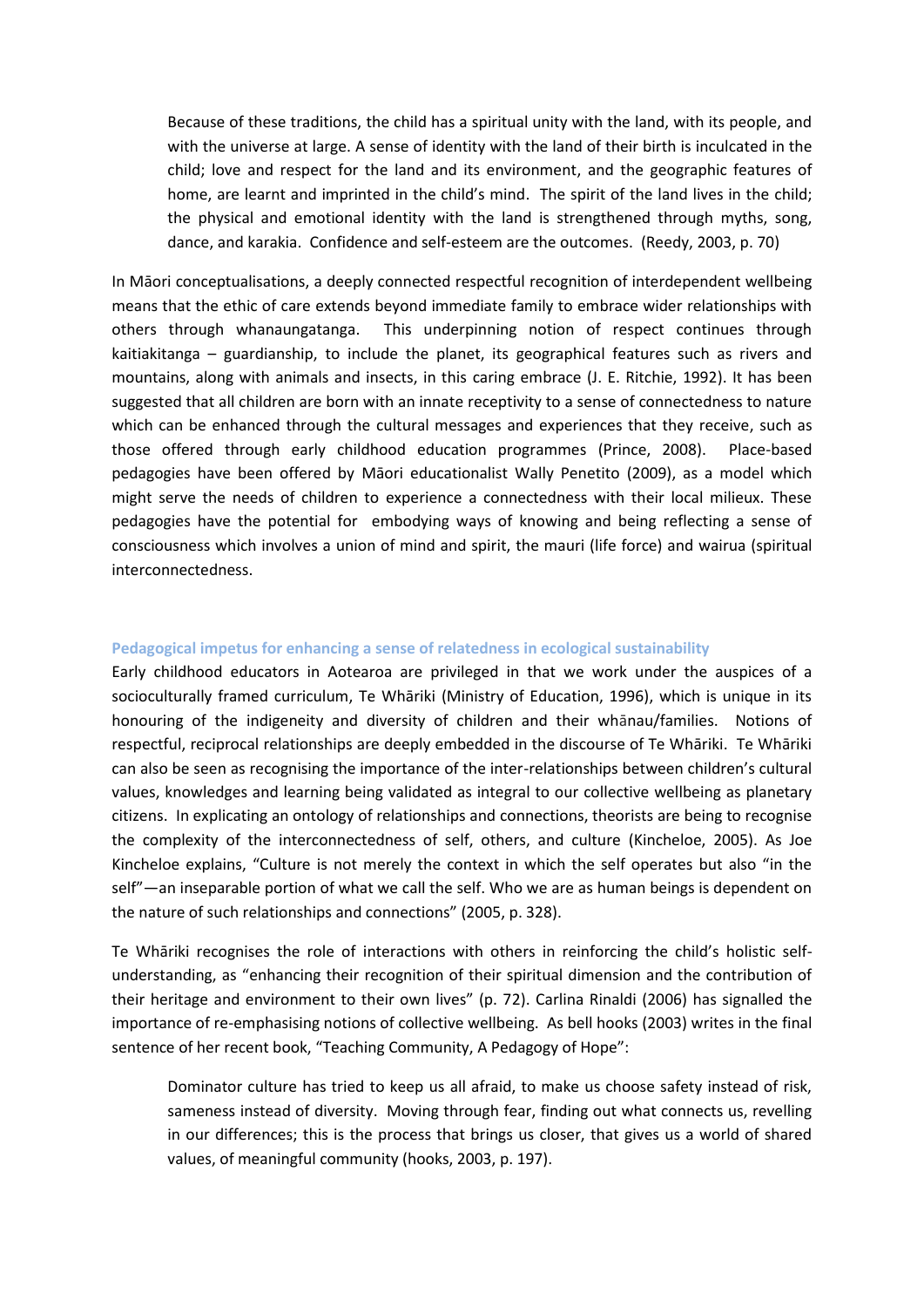Because of these traditions, the child has a spiritual unity with the land, with its people, and with the universe at large. A sense of identity with the land of their birth is inculcated in the child; love and respect for the land and its environment, and the geographic features of home, are learnt and imprinted in the child's mind. The spirit of the land lives in the child; the physical and emotional identity with the land is strengthened through myths, song, dance, and karakia. Confidence and self-esteem are the outcomes. (Reedy, 2003, p. 70)

In Māori conceptualisations, a deeply connected respectful recognition of interdependent wellbeing means that the ethic of care extends beyond immediate family to embrace wider relationships with others through whanaungatanga. This underpinning notion of respect continues through kaitiakitanga – guardianship, to include the planet, its geographical features such as rivers and mountains, along with animals and insects, in this caring embrace (J. E. Ritchie, 1992). It has been suggested that all children are born with an innate receptivity to a sense of connectedness to nature which can be enhanced through the cultural messages and experiences that they receive, such as those offered through early childhood education programmes (Prince, 2008). Place-based pedagogies have been offered by Māori educationalist Wally Penetito (2009), as a model which might serve the needs of children to experience a connectedness with their local milieux. These pedagogies have the potential for embodying ways of knowing and being reflecting a sense of consciousness which involves a union of mind and spirit, the mauri (life force) and wairua (spiritual interconnectedness.

### **Pedagogical impetus for enhancing a sense of relatedness in ecological sustainability**

Early childhood educators in Aotearoa are privileged in that we work under the auspices of a socioculturally framed curriculum, Te Whāriki (Ministry of Education, 1996), which is unique in its honouring of the indigeneity and diversity of children and their whānau/families. Notions of respectful, reciprocal relationships are deeply embedded in the discourse of Te Whāriki. Te Whāriki can also be seen as recognising the importance of the inter-relationships between children's cultural values, knowledges and learning being validated as integral to our collective wellbeing as planetary citizens. In explicating an ontology of relationships and connections, theorists are being to recognise the complexity of the interconnectedness of self, others, and culture (Kincheloe, 2005). As Joe Kincheloe explains, "Culture is not merely the context in which the self operates but also "in the self"—an inseparable portion of what we call the self. Who we are as human beings is dependent on the nature of such relationships and connections" (2005, p. 328).

Te Whāriki recognises the role of interactions with others in reinforcing the child's holistic selfunderstanding, as "enhancing their recognition of their spiritual dimension and the contribution of their heritage and environment to their own lives" (p. 72). Carlina Rinaldi (2006) has signalled the importance of re-emphasising notions of collective wellbeing. As bell hooks (2003) writes in the final sentence of her recent book, "Teaching Community, A Pedagogy of Hope":

Dominator culture has tried to keep us all afraid, to make us choose safety instead of risk, sameness instead of diversity. Moving through fear, finding out what connects us, revelling in our differences; this is the process that brings us closer, that gives us a world of shared values, of meaningful community (hooks, 2003, p. 197).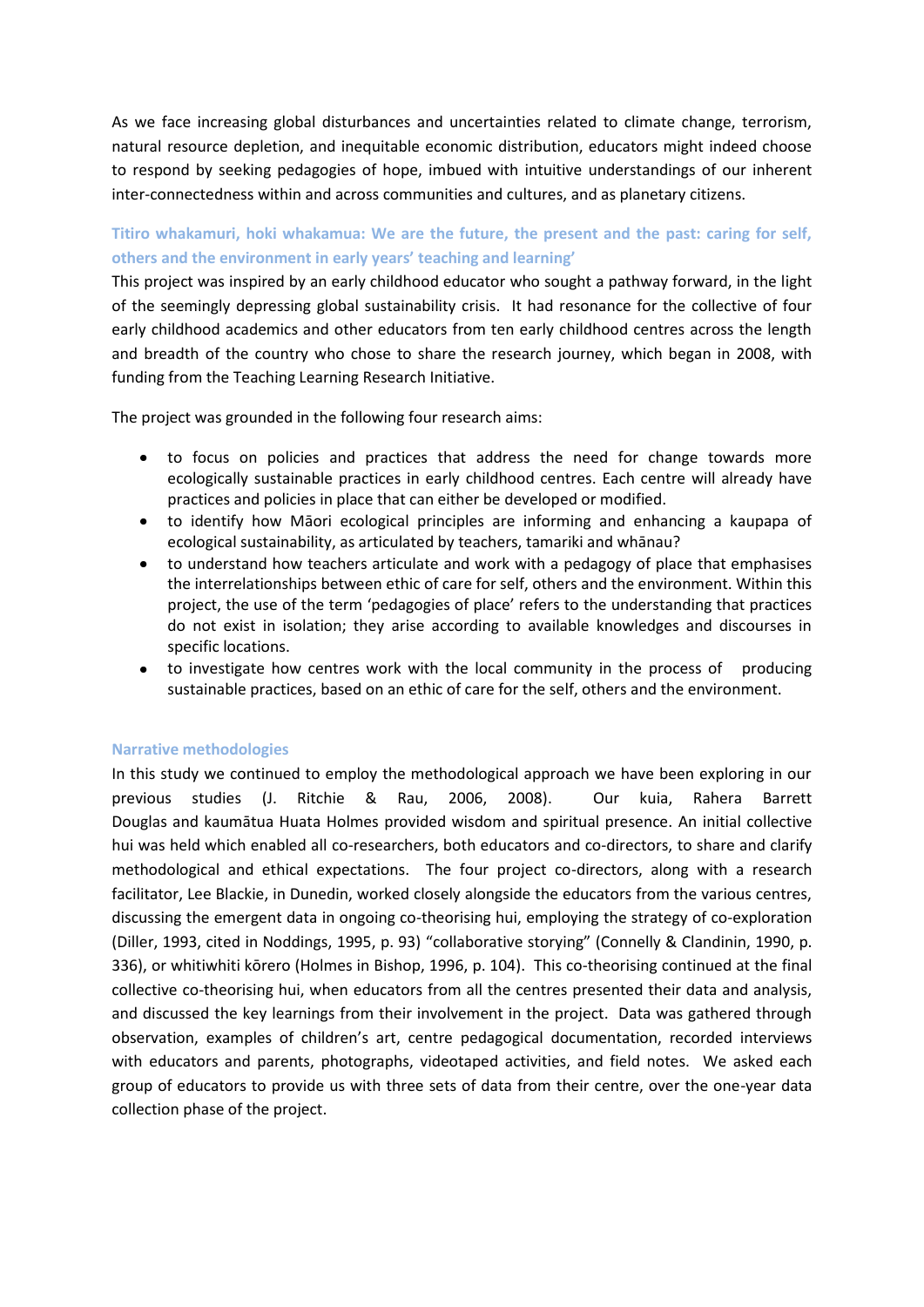As we face increasing global disturbances and uncertainties related to climate change, terrorism, natural resource depletion, and inequitable economic distribution, educators might indeed choose to respond by seeking pedagogies of hope, imbued with intuitive understandings of our inherent inter-connectedness within and across communities and cultures, and as planetary citizens.

# Titiro whakamuri, hoki whakamua: We are the future, the present and the past: caring for self, others and the environment in early years' teaching and learning'

This project was inspired by an early childhood educator who sought a pathway forward, in the light of the seemingly depressing global sustainability crisis. It had resonance for the collective of four early childhood academics and other educators from ten early childhood centres across the length and breadth of the country who chose to share the research journey, which began in 2008, with funding from the Teaching Learning Research Initiative.

The project was grounded in the following four research aims:

- to focus on policies and practices that address the need for change towards more ecologically sustainable practices in early childhood centres. Each centre will already have practices and policies in place that can either be developed or modified.
- to identify how Māori ecological principles are informing and enhancing a kaupapa of ecological sustainability, as articulated by teachers, tamariki and whanau?
- to understand how teachers articulate and work with a pedagogy of place that emphasises  $\bullet$  . the interrelationships between ethic of care for self, others and the environment. Within this project, the use of the term 'pedagogies of place' refers to the understanding that practices do not exist in isolation; they arise according to available knowledges and discourses in specific locations.
- $\bullet$  . to investigate how centres work with the local community in the process of producing sustainable practices, based on an ethic of care for the self, others and the environment.

# **Narrative methodologies**

In this study we continued to employ the methodological approach we have been exploring in our previous studies (J. Ritchie & Rau. 2006. 2008). Our kuia. Rahera Barrett Douglas and kaumātua Huata Holmes provided wisdom and spiritual presence. An initial collective hui was held which enabled all co-researchers, both educators and co-directors, to share and clarify methodological and ethical expectations. The four project co-directors, along with a research facilitator, Lee Blackie, in Dunedin, worked closely alongside the educators from the various centres, discussing the emergent data in ongoing co-theorising hui, employing the strategy of co-exploration (Diller, 1993, cited in Noddings, 1995, p. 93) "collaborative storying" (Connelly & Clandinin, 1990, p. 336), or whitiwhiti kōrero (Holmes in Bishop, 1996, p. 104). This co-theorising continued at the final collective co-theorising hui, when educators from all the centres presented their data and analysis, and discussed the key learnings from their involvement in the project. Data was gathered through observation, examples of children's art, centre pedagogical documentation, recorded interviews with educators and parents, photographs, videotaped activities, and field notes. We asked each group of educators to provide us with three sets of data from their centre, over the one-year data collection phase of the project.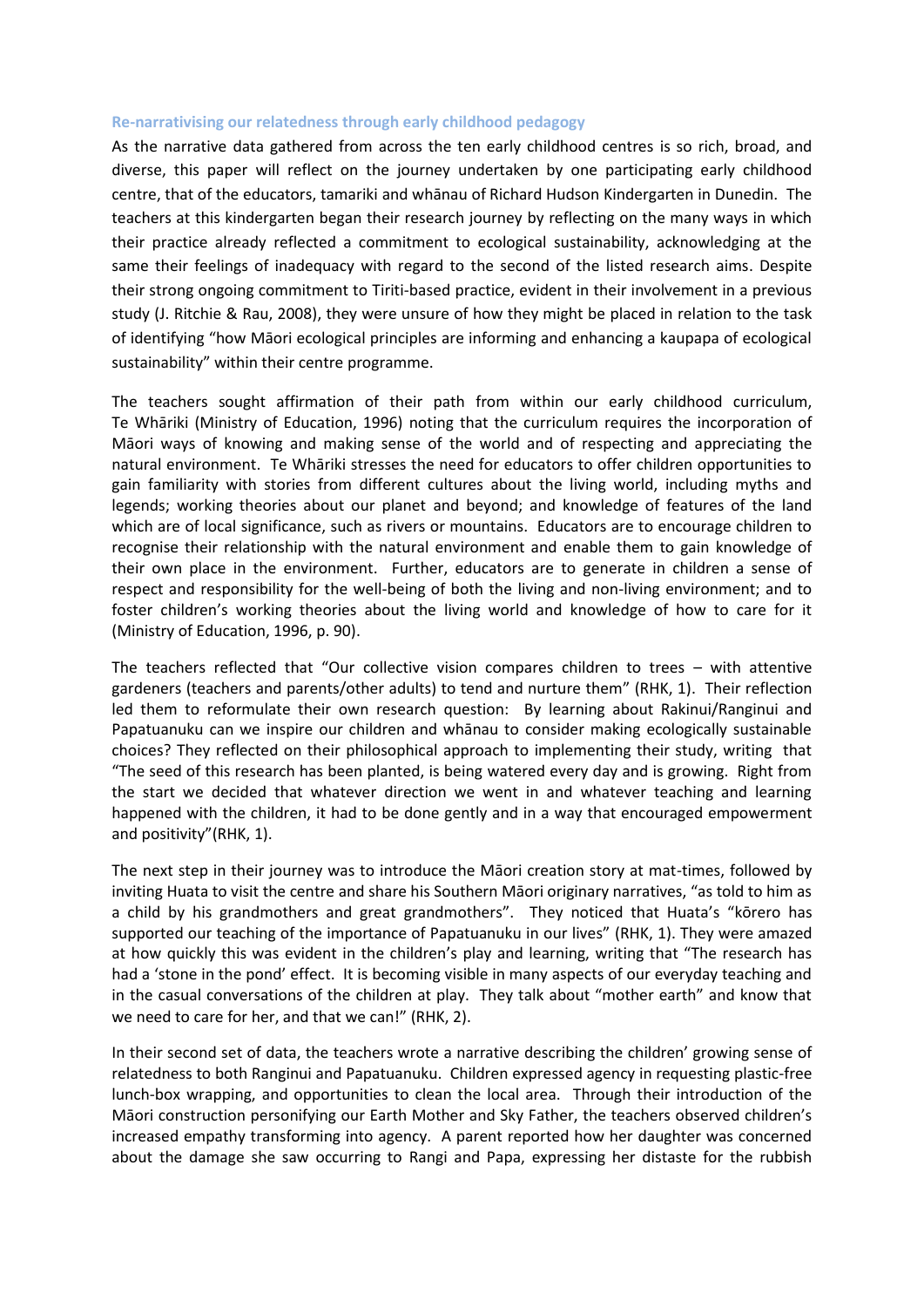### Re-narrativising our relatedness through early childhood pedagogy

As the narrative data gathered from across the ten early childhood centres is so rich, broad, and diverse, this paper will reflect on the journey undertaken by one participating early childhood centre, that of the educators, tamariki and whanau of Richard Hudson Kindergarten in Dunedin. The teachers at this kindergarten began their research journey by reflecting on the many ways in which their practice already reflected a commitment to ecological sustainability, acknowledging at the same their feelings of inadequacy with regard to the second of the listed research aims. Despite their strong ongoing commitment to Tiriti-based practice, evident in their involvement in a previous study (J. Ritchie & Rau, 2008), they were unsure of how they might be placed in relation to the task of identifying "how Māori ecological principles are informing and enhancing a kaupapa of ecological sustainability" within their centre programme.

The teachers sought affirmation of their path from within our early childhood curriculum, Te Whāriki (Ministry of Education, 1996) noting that the curriculum requires the incorporation of Māori ways of knowing and making sense of the world and of respecting and appreciating the natural environment. Te Whāriki stresses the need for educators to offer children opportunities to gain familiarity with stories from different cultures about the living world, including myths and legends; working theories about our planet and beyond; and knowledge of features of the land which are of local significance, such as rivers or mountains. Educators are to encourage children to recognise their relationship with the natural environment and enable them to gain knowledge of their own place in the environment. Further, educators are to generate in children a sense of respect and responsibility for the well-being of both the living and non-living environment; and to foster children's working theories about the living world and knowledge of how to care for it (Ministry of Education, 1996, p. 90).

The teachers reflected that "Our collective vision compares children to trees  $-$  with attentive gardeners (teachers and parents/other adults) to tend and nurture them" (RHK, 1). Their reflection led them to reformulate their own research question: By learning about Rakinui/Ranginui and Papatuanuku can we inspire our children and whanau to consider making ecologically sustainable choices? They reflected on their philosophical approach to implementing their study, writing that "The seed of this research has been planted, is being watered every day and is growing. Right from the start we decided that whatever direction we went in and whatever teaching and learning happened with the children, it had to be done gently and in a way that encouraged empowerment and positivity"(RHK, 1).

The next step in their journey was to introduce the Maori creation story at mat-times, followed by inviting Huata to visit the centre and share his Southern Māori originary narratives, "as told to him as a child by his grandmothers and great grandmothers". They noticed that Huata's "korero has supported our teaching of the importance of Papatuanuku in our lives" (RHK, 1). They were amazed at how quickly this was evident in the children's play and learning, writing that "The research has had a 'stone in the pond' effect. It is becoming visible in many aspects of our everyday teaching and in the casual conversations of the children at play. They talk about "mother earth" and know that we need to care for her, and that we can!" (RHK, 2).

In their second set of data, the teachers wrote a narrative describing the children' growing sense of relatedness to both Ranginui and Papatuanuku. Children expressed agency in requesting plastic-free lunch-box wrapping, and opportunities to clean the local area. Through their introduction of the Māori construction personifying our Earth Mother and Sky Father, the teachers observed children's increased empathy transforming into agency. A parent reported how her daughter was concerned about the damage she saw occurring to Rangi and Papa, expressing her distaste for the rubbish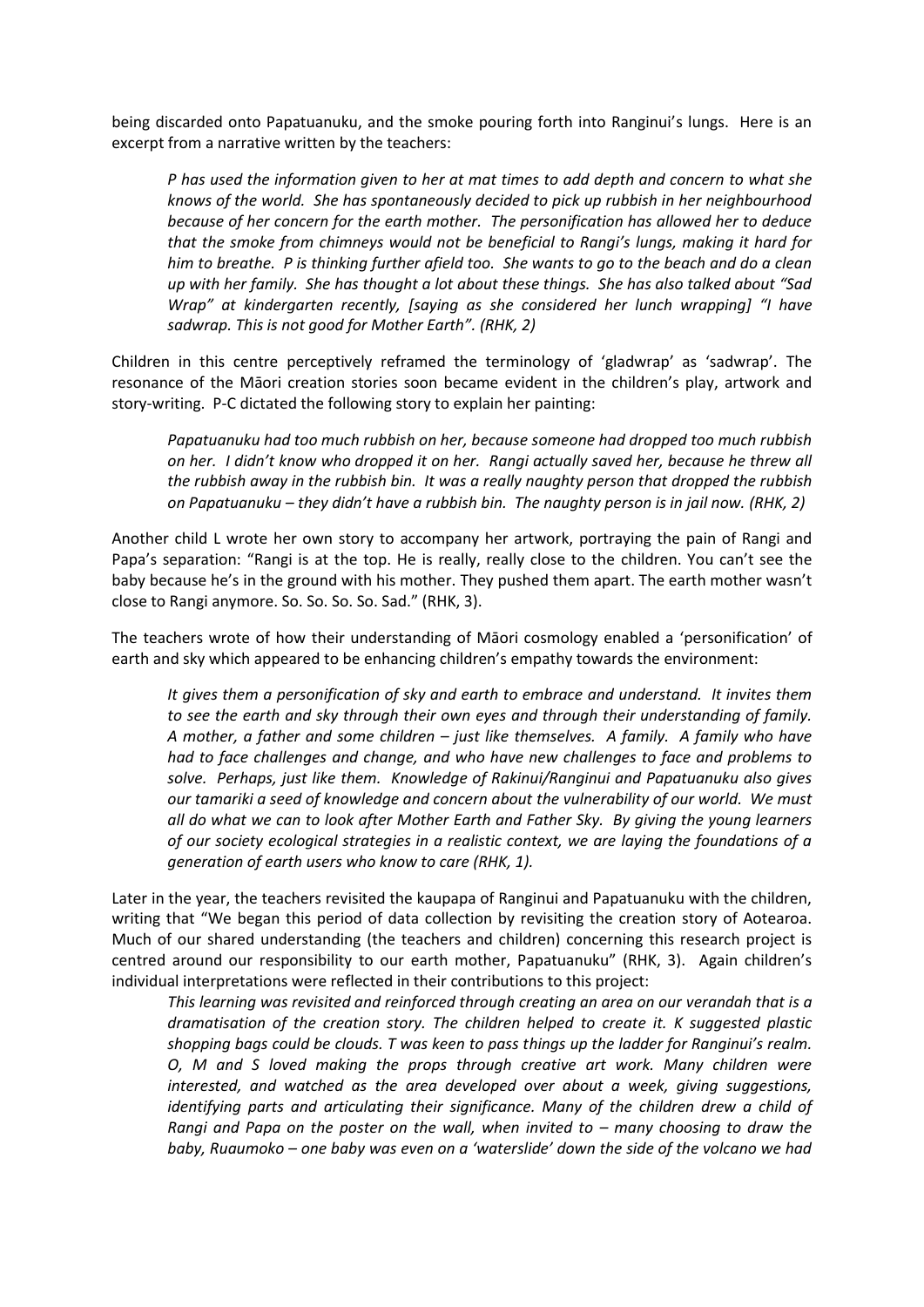being discarded onto Papatuanuku, and the smoke pouring forth into Ranginui's lungs. Here is an excerpt from a narrative written by the teachers:

P has used the information given to her at mat times to add depth and concern to what she knows of the world. She has spontaneously decided to pick up rubbish in her neighbourhood because of her concern for the earth mother. The personification has allowed her to deduce that the smoke from chimneys would not be beneficial to Rangi's lungs, making it hard for him to breathe. P is thinking further afield too. She wants to go to the beach and do a clean up with her family. She has thought a lot about these things. She has also talked about "Sad Wrap" at kindergarten recently, [saying as she considered her lunch wrapping] "I have sadwrap. This is not good for Mother Earth". (RHK, 2)

Children in this centre perceptively reframed the terminology of 'gladwrap' as 'sadwrap'. The resonance of the Māori creation stories soon became evident in the children's play, artwork and story-writing. P-C dictated the following story to explain her painting:

Papatuanuku had too much rubbish on her, because someone had dropped too much rubbish on her. I didn't know who dropped it on her. Rangi actually saved her, because he threw all the rubbish away in the rubbish bin. It was a really naughty person that dropped the rubbish on Papatuanuku - they didn't have a rubbish bin. The naughty person is in jail now. (RHK, 2)

Another child L wrote her own story to accompany her artwork, portraying the pain of Rangi and Papa's separation: "Rangi is at the top. He is really, really close to the children. You can't see the baby because he's in the ground with his mother. They pushed them apart. The earth mother wasn't close to Rangi anymore. So. So. So. So. Sad." (RHK, 3).

The teachers wrote of how their understanding of Māori cosmology enabled a 'personification' of earth and sky which appeared to be enhancing children's empathy towards the environment:

It gives them a personification of sky and earth to embrace and understand. It invites them to see the earth and sky through their own eyes and through their understanding of family. A mother, a father and some children  $-$  just like themselves. A family. A family who have had to face challenges and change, and who have new challenges to face and problems to solve. Perhaps, just like them. Knowledge of Rakinui/Ranginui and Papatuanuku also gives our tamariki a seed of knowledge and concern about the vulnerability of our world. We must all do what we can to look after Mother Earth and Father Sky. By giving the young learners of our society ecological strategies in a realistic context, we are laying the foundations of a generation of earth users who know to care (RHK, 1).

Later in the year, the teachers revisited the kaupapa of Ranginui and Papatuanuku with the children, writing that "We began this period of data collection by revisiting the creation story of Aotearoa. Much of our shared understanding (the teachers and children) concerning this research project is centred around our responsibility to our earth mother, Papatuanuku" (RHK, 3). Again children's individual interpretations were reflected in their contributions to this project:

This learning was revisited and reinforced through creating an area on our verandah that is a dramatisation of the creation story. The children helped to create it. K suggested plastic shopping bags could be clouds. T was keen to pass things up the ladder for Ranginui's realm. O, M and S loved making the props through creative art work. Many children were interested, and watched as the area developed over about a week, giving suggestions, identifying parts and articulating their significance. Many of the children drew a child of Rangi and Papa on the poster on the wall, when invited to - many choosing to draw the baby, Ruaumoko – one baby was even on a 'waterslide' down the side of the volcano we had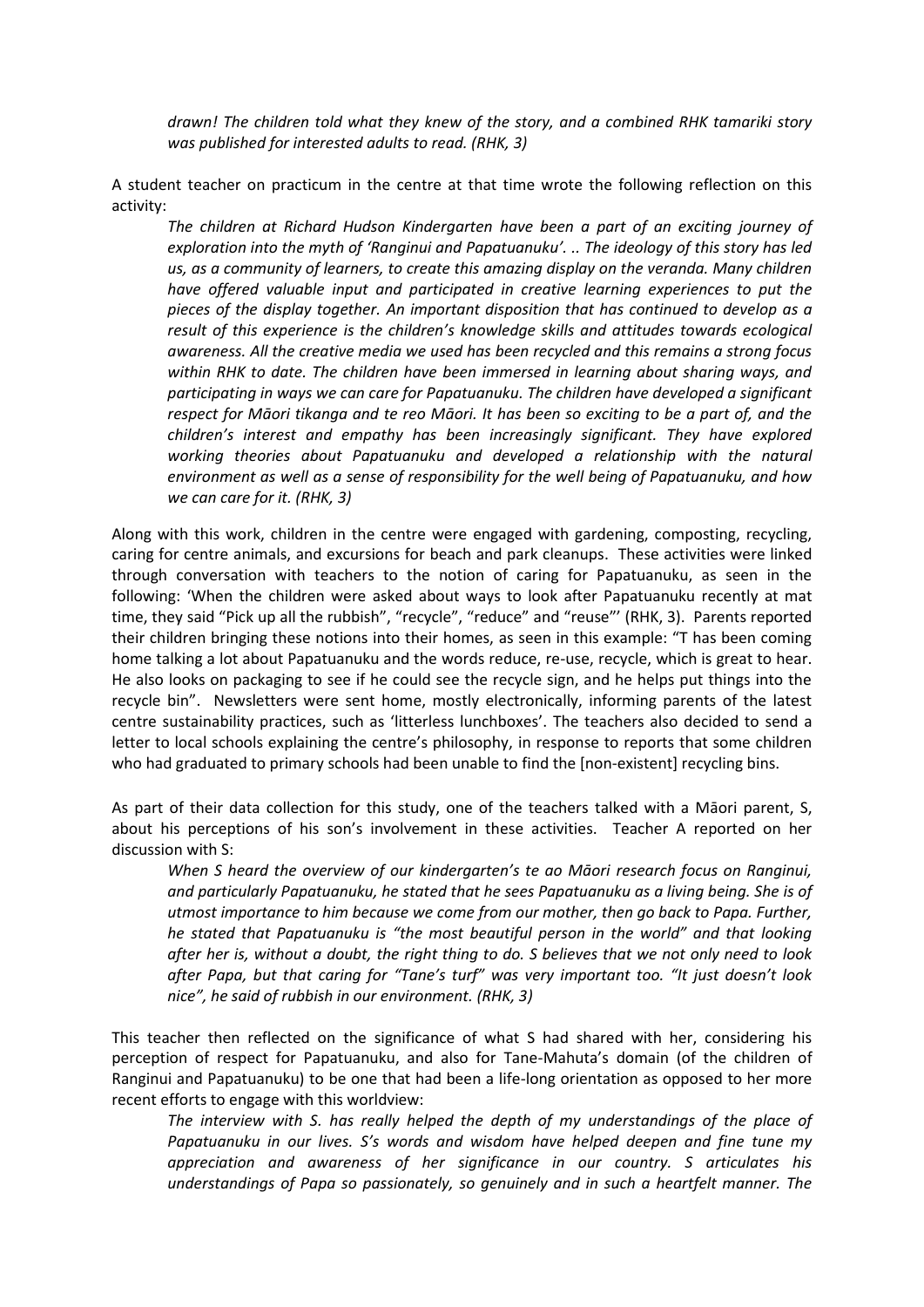drawn! The children told what they knew of the story, and a combined RHK tamariki story was published for interested adults to read. (RHK, 3)

A student teacher on practicum in the centre at that time wrote the following reflection on this activity:

The children at Richard Hudson Kindergarten have been a part of an exciting journey of exploration into the myth of 'Ranginui and Papatuanuku'. .. The ideology of this story has led us, as a community of learners, to create this amazing display on the veranda. Many children have offered valuable input and participated in creative learning experiences to put the pieces of the display together. An important disposition that has continued to develop as a result of this experience is the children's knowledge skills and attitudes towards ecological awareness. All the creative media we used has been recycled and this remains a strong focus within RHK to date. The children have been immersed in learning about sharing ways, and participating in ways we can care for Papatuanuku. The children have developed a significant respect for Māori tikanga and te reo Māori. It has been so exciting to be a part of, and the children's interest and empathy has been increasingly significant. They have explored working theories about Papatuanuku and developed a relationship with the natural environment as well as a sense of responsibility for the well being of Papatuanuku, and how we can care for it. (RHK, 3)

Along with this work, children in the centre were engaged with gardening, composting, recycling, caring for centre animals, and excursions for beach and park cleanups. These activities were linked through conversation with teachers to the notion of caring for Papatuanuku, as seen in the following: 'When the children were asked about ways to look after Papatuanuku recently at mat time, they said "Pick up all the rubbish", "recycle", "reduce" and "reuse"' (RHK, 3). Parents reported their children bringing these notions into their homes, as seen in this example: "T has been coming home talking a lot about Papatuanuku and the words reduce, re-use, recycle, which is great to hear. He also looks on packaging to see if he could see the recycle sign, and he helps put things into the recycle bin". Newsletters were sent home, mostly electronically, informing parents of the latest centre sustainability practices, such as 'litterless lunchboxes'. The teachers also decided to send a letter to local schools explaining the centre's philosophy, in response to reports that some children who had graduated to primary schools had been unable to find the [non-existent] recycling bins.

As part of their data collection for this study, one of the teachers talked with a Māori parent, S, about his perceptions of his son's involvement in these activities. Teacher A reported on her discussion with S:

When S heard the overview of our kindergarten's te ao Māori research focus on Ranginui, and particularly Papatuanuku, he stated that he sees Papatuanuku as a living being. She is of utmost importance to him because we come from our mother, then go back to Papa. Further, he stated that Papatuanuku is "the most beautiful person in the world" and that looking after her is, without a doubt, the right thing to do. S believes that we not only need to look after Papa, but that caring for "Tane's turf" was very important too. "It just doesn't look nice", he said of rubbish in our environment. (RHK, 3)

This teacher then reflected on the significance of what S had shared with her, considering his perception of respect for Papatuanuku, and also for Tane-Mahuta's domain (of the children of Ranginui and Papatuanuku) to be one that had been a life-long orientation as opposed to her more recent efforts to engage with this worldview:

The interview with S. has really helped the depth of my understandings of the place of Papatuanuku in our lives. S's words and wisdom have helped deepen and fine tune my appreciation and awareness of her significance in our country. S articulates his understandings of Papa so passionately, so genuinely and in such a heartfelt manner. The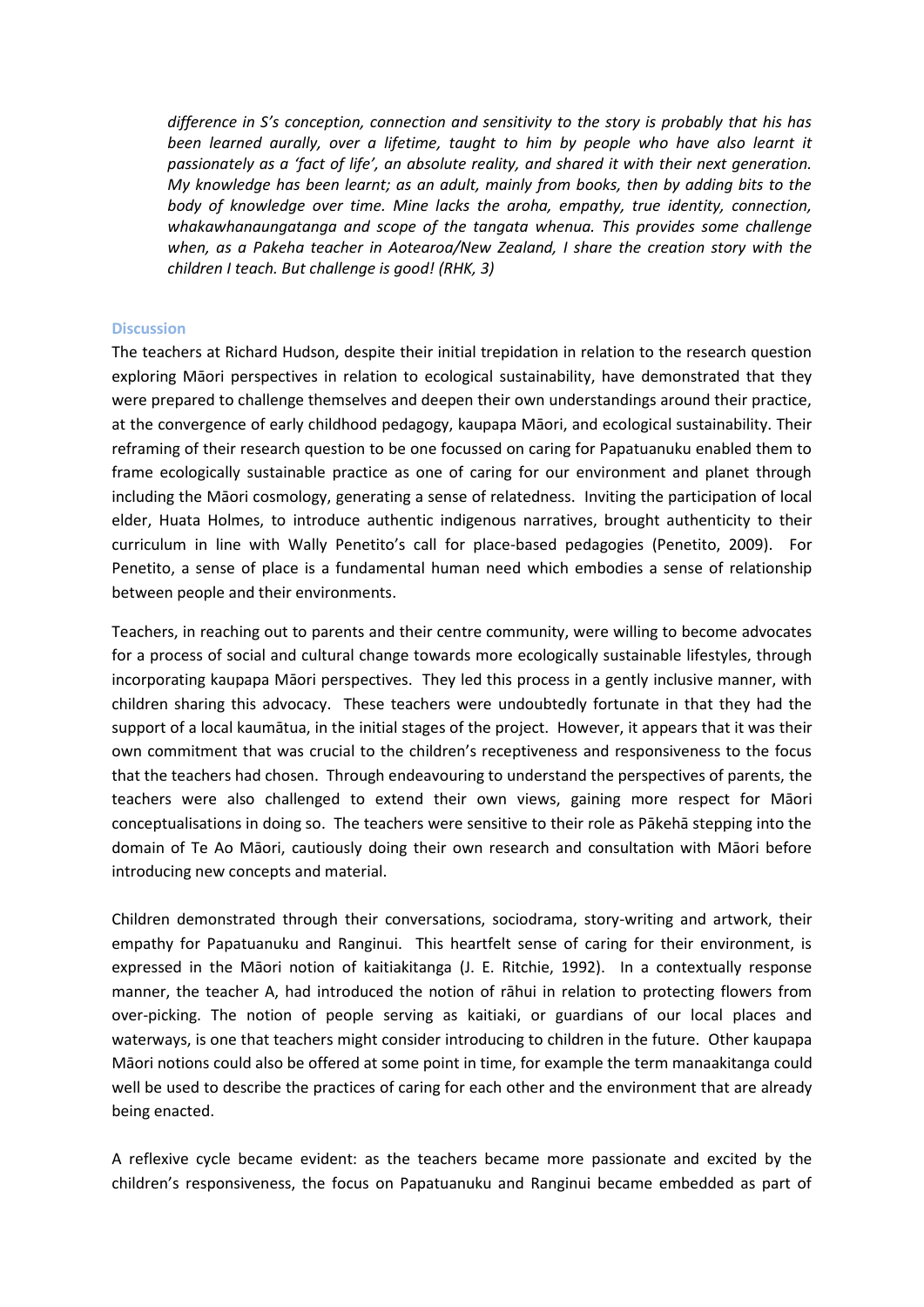difference in S's conception, connection and sensitivity to the story is probably that his has been learned aurally, over a lifetime, taught to him by people who have also learnt it passionately as a 'fact of life', an absolute reality, and shared it with their next generation. My knowledge has been learnt; as an adult, mainly from books, then by adding bits to the body of knowledge over time. Mine lacks the aroha, empathy, true identity, connection, whakawhanaungatanga and scope of the tangata whenua. This provides some challenge when, as a Pakeha teacher in Aotearoa/New Zealand, I share the creation story with the children I teach. But challenge is good! (RHK, 3)

### **Discussion**

The teachers at Richard Hudson, despite their initial trepidation in relation to the research question exploring Māori perspectives in relation to ecological sustainability, have demonstrated that they were prepared to challenge themselves and deepen their own understandings around their practice, at the convergence of early childhood pedagogy, kaupapa Māori, and ecological sustainability. Their reframing of their research question to be one focussed on caring for Papatuanuku enabled them to frame ecologically sustainable practice as one of caring for our environment and planet through including the Māori cosmology, generating a sense of relatedness. Inviting the participation of local elder, Huata Holmes, to introduce authentic indigenous narratives, brought authenticity to their curriculum in line with Wally Penetito's call for place-based pedagogies (Penetito, 2009). For Penetito, a sense of place is a fundamental human need which embodies a sense of relationship between people and their environments.

Teachers, in reaching out to parents and their centre community, were willing to become advocates for a process of social and cultural change towards more ecologically sustainable lifestyles, through incorporating kaupapa Māori perspectives. They led this process in a gently inclusive manner, with children sharing this advocacy. These teachers were undoubtedly fortunate in that they had the support of a local kaumātua, in the initial stages of the project. However, it appears that it was their own commitment that was crucial to the children's receptiveness and responsiveness to the focus that the teachers had chosen. Through endeavouring to understand the perspectives of parents, the teachers were also challenged to extend their own views, gaining more respect for Māori conceptualisations in doing so. The teachers were sensitive to their role as Pākehā stepping into the domain of Te Ao Māori, cautiously doing their own research and consultation with Māori before introducing new concepts and material.

Children demonstrated through their conversations, sociodrama, story-writing and artwork, their empathy for Papatuanuku and Ranginui. This heartfelt sense of caring for their environment, is expressed in the Māori notion of kaitiakitanga (J. E. Ritchie, 1992). In a contextually response manner, the teacher A, had introduced the notion of rāhui in relation to protecting flowers from over-picking. The notion of people serving as kaitiaki, or guardians of our local places and waterways, is one that teachers might consider introducing to children in the future. Other kaupapa Māori notions could also be offered at some point in time, for example the term manaakitanga could well be used to describe the practices of caring for each other and the environment that are already being enacted.

A reflexive cycle became evident: as the teachers became more passionate and excited by the children's responsiveness, the focus on Papatuanuku and Ranginui became embedded as part of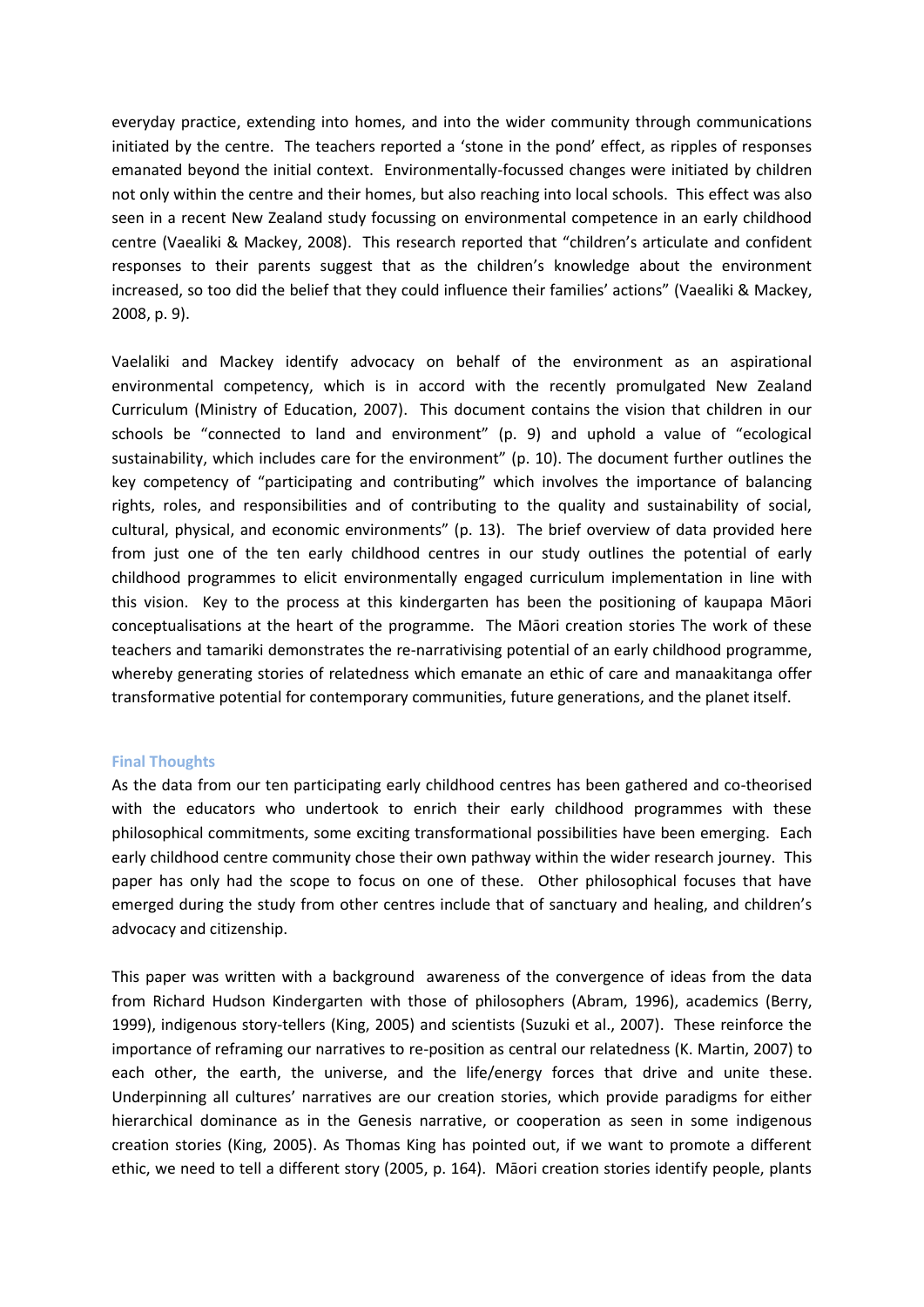everyday practice, extending into homes, and into the wider community through communications initiated by the centre. The teachers reported a 'stone in the pond' effect, as ripples of responses emanated beyond the initial context. Environmentally-focussed changes were initiated by children not only within the centre and their homes, but also reaching into local schools. This effect was also seen in a recent New Zealand study focussing on environmental competence in an early childhood centre (Vaealiki & Mackey, 2008). This research reported that "children's articulate and confident responses to their parents suggest that as the children's knowledge about the environment increased, so too did the belief that they could influence their families' actions" (Vaealiki & Mackey, 2008, p. 9).

Vaelaliki and Mackey identify advocacy on behalf of the environment as an aspirational environmental competency, which is in accord with the recently promulgated New Zealand Curriculum (Ministry of Education, 2007). This document contains the vision that children in our schools be "connected to land and environment" (p. 9) and uphold a value of "ecological sustainability, which includes care for the environment" (p. 10). The document further outlines the key competency of "participating and contributing" which involves the importance of balancing rights, roles, and responsibilities and of contributing to the quality and sustainability of social, cultural, physical, and economic environments" (p. 13). The brief overview of data provided here from just one of the ten early childhood centres in our study outlines the potential of early childhood programmes to elicit environmentally engaged curriculum implementation in line with this vision. Key to the process at this kindergarten has been the positioning of kaupapa Māori conceptualisations at the heart of the programme. The Maori creation stories The work of these teachers and tamariki demonstrates the re-narrativising potential of an early childhood programme, whereby generating stories of relatedness which emanate an ethic of care and manaakitanga offer transformative potential for contemporary communities, future generations, and the planet itself.

### **Final Thoughts**

As the data from our ten participating early childhood centres has been gathered and co-theorised with the educators who undertook to enrich their early childhood programmes with these philosophical commitments, some exciting transformational possibilities have been emerging. Each early childhood centre community chose their own pathway within the wider research journey. This paper has only had the scope to focus on one of these. Other philosophical focuses that have emerged during the study from other centres include that of sanctuary and healing, and children's advocacy and citizenship.

This paper was written with a background awareness of the convergence of ideas from the data from Richard Hudson Kindergarten with those of philosophers (Abram, 1996), academics (Berry, 1999), indigenous story-tellers (King, 2005) and scientists (Suzuki et al., 2007). These reinforce the importance of reframing our narratives to re-position as central our relatedness (K. Martin, 2007) to each other, the earth, the universe, and the life/energy forces that drive and unite these. Underpinning all cultures' narratives are our creation stories, which provide paradigms for either hierarchical dominance as in the Genesis narrative, or cooperation as seen in some indigenous creation stories (King, 2005). As Thomas King has pointed out, if we want to promote a different ethic, we need to tell a different story (2005, p. 164). Māori creation stories identify people, plants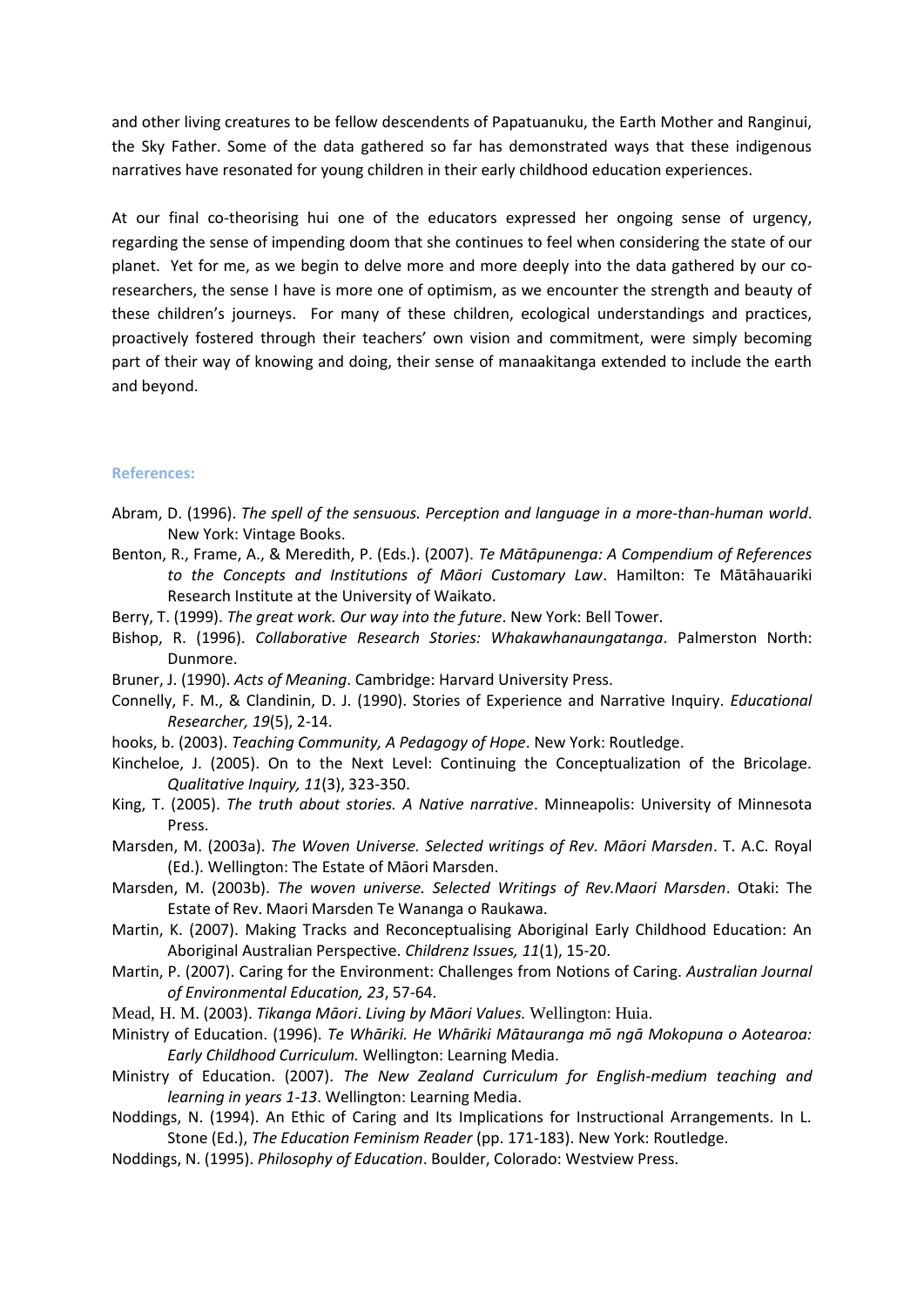and other living creatures to be fellow descendents of Papatuanuku, the Earth Mother and Ranginui, the Sky Father. Some of the data gathered so far has demonstrated ways that these indigenous narratives have resonated for young children in their early childhood education experiences.

At our final co-theorising hui one of the educators expressed her ongoing sense of urgency, regarding the sense of impending doom that she continues to feel when considering the state of our planet. Yet for me, as we begin to delve more and more deeply into the data gathered by our coresearchers, the sense I have is more one of optimism, as we encounter the strength and beauty of these children's journeys. For many of these children, ecological understandings and practices, proactively fostered through their teachers' own vision and commitment, were simply becoming part of their way of knowing and doing, their sense of manaakitanga extended to include the earth and beyond.

#### **References:**

- Abram, D. (1996). The spell of the sensuous. Perception and language in a more-than-human world. New York: Vintage Books.
- Benton, R., Frame, A., & Meredith, P. (Eds.). (2007). Te Mātāpunenga: A Compendium of References to the Concepts and Institutions of Māori Customary Law. Hamilton: Te Mātāhauariki Research Institute at the University of Waikato.
- Berry, T. (1999). The great work. Our way into the future. New York: Bell Tower.
- Bishop, R. (1996). Collaborative Research Stories: Whakawhanaungatanga. Palmerston North: Dunmore.
- Bruner, J. (1990). Acts of Meaning. Cambridge: Harvard University Press.
- Connelly, F. M., & Clandinin, D. J. (1990). Stories of Experience and Narrative Inquiry. Educational Researcher, 19(5), 2-14.
- hooks, b. (2003). Teaching Community, A Pedagogy of Hope. New York: Routledge.
- Kincheloe, J. (2005). On to the Next Level: Continuing the Conceptualization of the Bricolage. Qualitative Inquiry, 11(3), 323-350.
- King, T. (2005). The truth about stories. A Native narrative. Minneapolis: University of Minnesota Press.
- Marsden, M. (2003a). The Woven Universe. Selected writings of Rev. Māori Marsden. T. A.C. Royal (Ed.). Wellington: The Estate of Māori Marsden.
- Marsden, M. (2003b). The woven universe. Selected Writings of Rev. Maori Marsden. Otaki: The Estate of Rev. Maori Marsden Te Wananga o Raukawa.
- Martin, K. (2007). Making Tracks and Reconceptualising Aboriginal Early Childhood Education: An Aboriginal Australian Perspective. Childrenz Issues, 11(1), 15-20.
- Martin, P. (2007). Caring for the Environment: Challenges from Notions of Caring. Australian Journal of Environmental Education, 23, 57-64.
- Mead, H. M. (2003). Tikanga Māori. Living by Māori Values. Wellington: Huia.
- Ministry of Education. (1996). Te Whāriki. He Whāriki Mātauranga mō ngā Mokopuna o Aotearoa: Early Childhood Curriculum. Wellington: Learning Media.
- Ministry of Education. (2007). The New Zealand Curriculum for English-medium teaching and learning in years 1-13. Wellington: Learning Media.
- Noddings, N. (1994). An Ethic of Caring and Its Implications for Instructional Arrangements. In L. Stone (Ed.), The Education Feminism Reader (pp. 171-183). New York: Routledge.
- Noddings, N. (1995). Philosophy of Education. Boulder, Colorado: Westview Press.